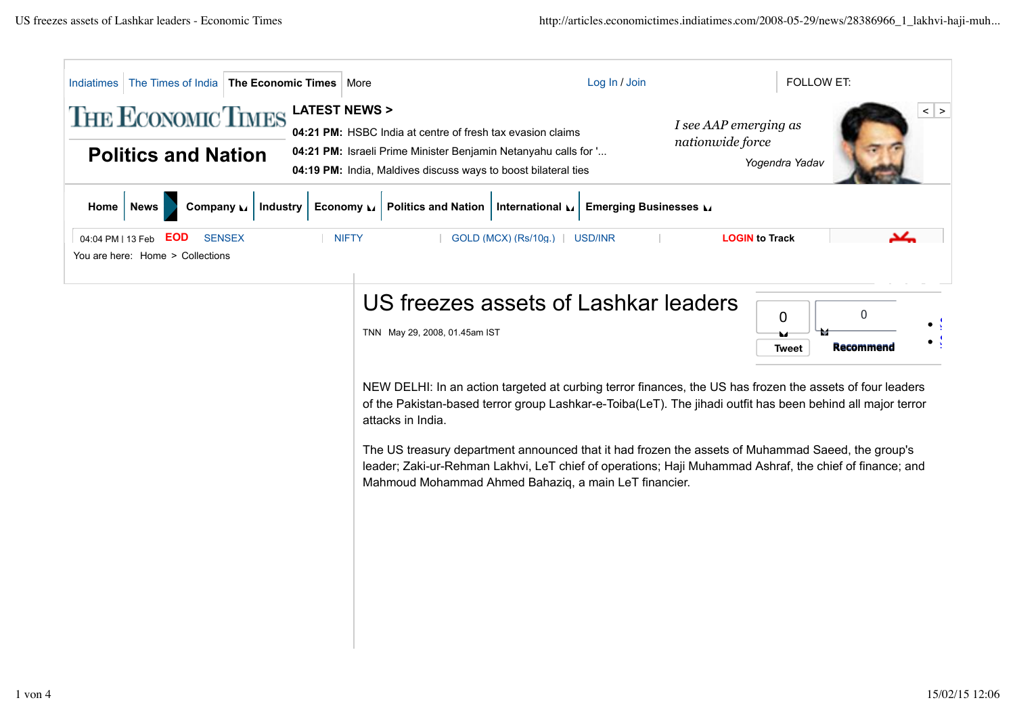| The Times of India   The Economic Times  <br>Indiatimes                                              | More                                                                                                                                                                                                                                                                                                                                                                                                                                                                                                                   | <b>FOLLOW ET:</b><br>Log In / Join                                       |  |  |
|------------------------------------------------------------------------------------------------------|------------------------------------------------------------------------------------------------------------------------------------------------------------------------------------------------------------------------------------------------------------------------------------------------------------------------------------------------------------------------------------------------------------------------------------------------------------------------------------------------------------------------|--------------------------------------------------------------------------|--|--|
| <b>LATEST NEWS &gt;</b><br><b>THE ECONOMIC TIMES</b><br><b>Politics and Nation</b>                   | 04:21 PM: HSBC India at centre of fresh tax evasion claims<br>04:21 PM: Israeli Prime Minister Benjamin Netanyahu calls for '<br>04:19 PM: India, Maldives discuss ways to boost bilateral ties                                                                                                                                                                                                                                                                                                                        | $\vert$ ><br>I see AAP emerging as<br>nationwide force<br>Yogendra Yadav |  |  |
| Economy $\mathbf{L}$<br><b>News</b><br>Company M<br><b>Industry</b><br>Home                          | <b>Politics and Nation</b><br>International                                                                                                                                                                                                                                                                                                                                                                                                                                                                            | <b>Emerging Businesses</b>                                               |  |  |
| <b>NIFTY</b><br><b>EOD</b><br><b>SENSEX</b><br>04:04 PM   13 Feb<br>You are here: Home > Collections | GOLD (MCX) (Rs/10g.)   USD/INR                                                                                                                                                                                                                                                                                                                                                                                                                                                                                         | <b>LOGIN to Track</b>                                                    |  |  |
|                                                                                                      | US freezes assets of Lashkar leaders<br>TNN May 29, 2008, 01.45am IST                                                                                                                                                                                                                                                                                                                                                                                                                                                  | $\Omega$<br>0<br>Recommend<br>Tweet                                      |  |  |
|                                                                                                      | NEW DELHI: In an action targeted at curbing terror finances, the US has frozen the assets of four leaders<br>of the Pakistan-based terror group Lashkar-e-Toiba(LeT). The jihadi outfit has been behind all major terror<br>attacks in India.<br>The US treasury department announced that it had frozen the assets of Muhammad Saeed, the group's<br>leader; Zaki-ur-Rehman Lakhvi, LeT chief of operations; Haji Muhammad Ashraf, the chief of finance; and<br>Mahmoud Mohammad Ahmed Bahaziq, a main LeT financier. |                                                                          |  |  |
|                                                                                                      |                                                                                                                                                                                                                                                                                                                                                                                                                                                                                                                        |                                                                          |  |  |
|                                                                                                      |                                                                                                                                                                                                                                                                                                                                                                                                                                                                                                                        |                                                                          |  |  |
|                                                                                                      |                                                                                                                                                                                                                                                                                                                                                                                                                                                                                                                        |                                                                          |  |  |
|                                                                                                      |                                                                                                                                                                                                                                                                                                                                                                                                                                                                                                                        |                                                                          |  |  |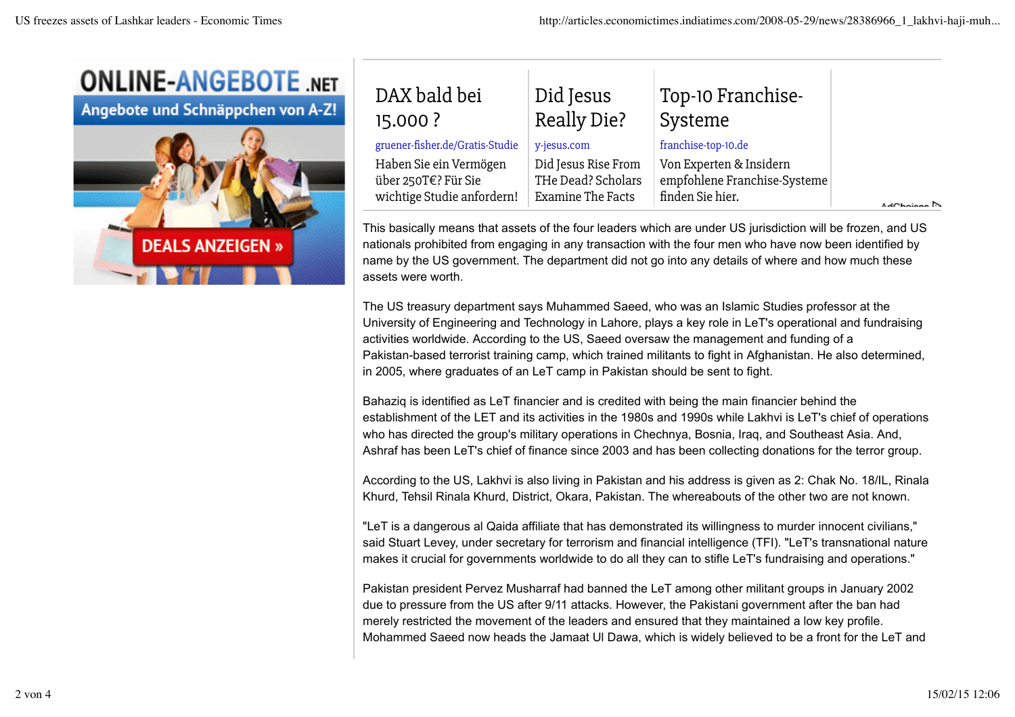

Angebote und Schnäppchen von A-Z!



| DAX bald bei                    | Did Jesus           | Top-10 Franchise-            |                        |
|---------------------------------|---------------------|------------------------------|------------------------|
| 15.000 ?                        | <b>Really Die?</b>  | Systeme                      |                        |
| gruener-fisher.de/Gratis-Studie | y-jesus.com         | franchise-top-10.de          |                        |
| Haben Sie ein Vermögen          | Did Jesus Rise From | Von Experten & Insidern      | AdChoices <sup>1</sup> |
| über 250T€? Für Sie             | THe Dead? Scholars  | empfohlene Franchise-Systeme |                        |
| wichtige Studie anfordern!      | Examine The Facts   | finden Sie hier.             |                        |

This basically means that assets of the four leaders which are under US jurisdiction will be frozen, and US nationals prohibited from engaging in any transaction with the four men who have now been identified by name by the US government. The department did not go into any details of where and how much these assets were worth.

The US treasury department says Muhammed Saeed, who was an Islamic Studies professor at the University of Engineering and Technology in Lahore, plays a key role in LeT's operational and fundraising activities worldwide. According to the US, Saeed oversaw the management and funding of a Pakistan-based terrorist training camp, which trained militants to fight in Afghanistan. He also determined, in 2005, where graduates of an LeT camp in Pakistan should be sent to fight.

Bahaziq is identified as LeT financier and is credited with being the main financier behind the establishment of the LET and its activities in the 1980s and 1990s while Lakhvi is LeT's chief of operations who has directed the group's military operations in Chechnya, Bosnia, Iraq, and Southeast Asia. And, Ashraf has been LeT's chief of finance since 2003 and has been collecting donations for the terror group.

According to the US, Lakhvi is also living in Pakistan and his address is given as 2: Chak No. 18/IL, Rinala Khurd, Tehsil Rinala Khurd, District, Okara, Pakistan. The whereabouts of the other two are not known.

"LeT is a dangerous al Qaida affiliate that has demonstrated its willingness to murder innocent civilians," said Stuart Levey, under secretary for terrorism and financial intelligence (TFI). "LeT's transnational nature makes it crucial for governments worldwide to do all they can to stifle LeT's fundraising and operations."

Pakistan president Pervez Musharraf had banned the LeT among other militant groups in January 2002 due to pressure from the US after 9/11 attacks. However, the Pakistani government after the ban had merely restricted the movement of the leaders and ensured that they maintained a low key profile. Mohammed Saeed now heads the Jamaat Ul Dawa, which is widely believed to be a front for the LeT and